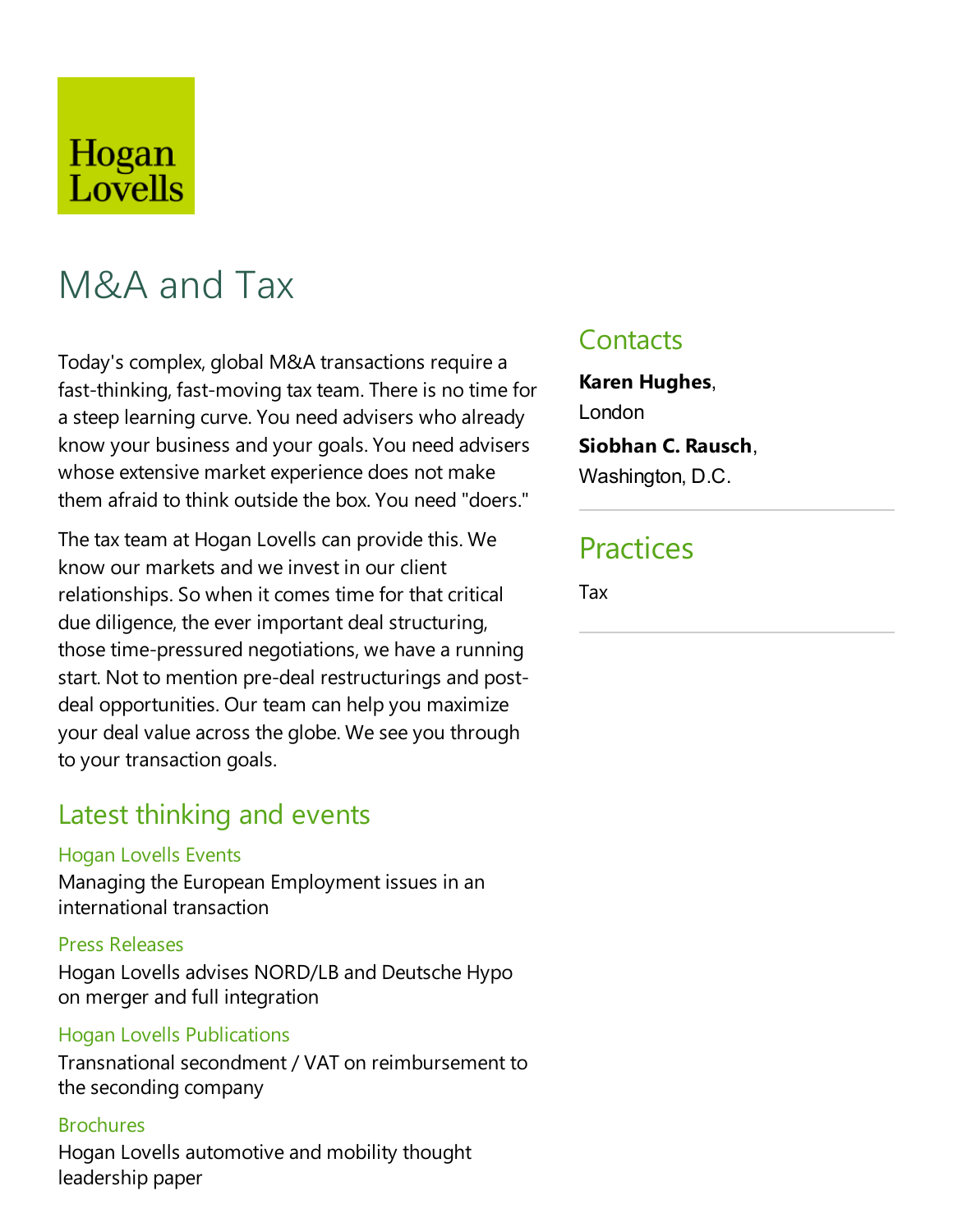## Hogan Lovells

# M&A and Tax

Today's complex, global M&A transactions require a fast-thinking, fast-moving tax team. There is no time for a steep learning curve. You need advisers who already know your business and your goals. You need advisers whose extensive market experience does not make them afraid to think outsidethe box. You need "doers."

The tax team at Hogan Lovells can provide this. We know our markets and weinvest in our client relationships. So when it comes time for that critical due diligence, the ever important deal structuring, those time-pressured negotiations, we have a running start. Not to mention pre-deal restructurings and postdeal opportunities. Our team can help you maximize your deal value across the globe. We see you through to your transaction goals.

### Latest thinking and events

#### Hogan Lovells Events

Managing the European Employment issues in an international transaction

#### Press Releases

Hogan Lovells advises NORD/LB and Deutsche Hypo on merger and full integration

#### Hogan Lovells Publications

Transnational secondment / VAT on reimbursement to the seconding company

#### **Brochures**

Hogan Lovells automotive and mobility thought leadership paper

## **Contacts**

**Karen Hughes**, London **Siobhan C. Rausch**, Washington, D.C.

## **Practices**

Tax